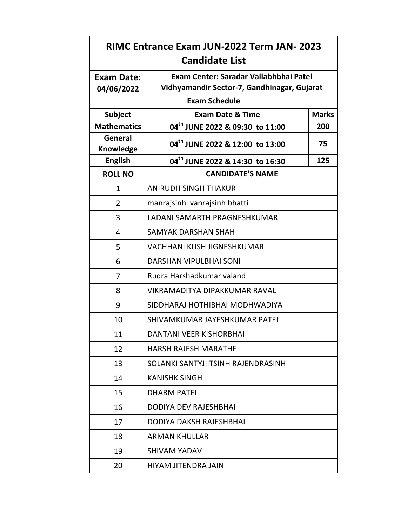| <b>RIMC Entrance Exam JUN-2022 Term JAN- 2023</b> |                                             |              |
|---------------------------------------------------|---------------------------------------------|--------------|
| <b>Candidate List</b>                             |                                             |              |
| <b>Exam Date:</b>                                 | Exam Center: Saradar Vallabhbhai Patel      |              |
| 04/06/2022                                        | Vidhyamandir Sector-7, Gandhinagar, Gujarat |              |
| <b>Exam Schedule</b>                              |                                             |              |
| <b>Subject</b>                                    | <b>Exam Date &amp; Time</b>                 | <b>Marks</b> |
| <b>Mathematics</b>                                | 04 <sup>th</sup> JUNE 2022 & 09:30 to 11:00 | 200          |
| General<br>Knowledge                              | 04 <sup>th</sup> JUNE 2022 & 12:00 to 13:00 | 75           |
| <b>English</b>                                    | 04 <sup>th</sup> JUNE 2022 & 14:30 to 16:30 | 125          |
| <b>ROLL NO</b>                                    | <b>CANDIDATE'S NAME</b>                     |              |
| 1                                                 | <b>ANIRUDH SINGH THAKUR</b>                 |              |
| 2                                                 | manrajsinh vanrajsinh bhatti                |              |
| 3                                                 | LADANI SAMARTH PRAGNESHKUMAR                |              |
| 4                                                 | <b>SAMYAK DARSHAN SHAH</b>                  |              |
| 5                                                 | VACHHANI KUSH JIGNESHKUMAR                  |              |
| 6                                                 | DARSHAN VIPULBHAI SONI                      |              |
| $\overline{7}$                                    | Rudra Harshadkumar valand                   |              |
| 8                                                 | VIKRAMADITYA DIPAKKUMAR RAVAL               |              |
| 9                                                 | SIDDHARAJ HOTHIBHAI MODHWADIYA              |              |
| 10                                                | SHIVAMKUMAR JAYESHKUMAR PATEL               |              |
| 11                                                | DANTANI VEER KISHORBHAI                     |              |
| 12                                                | <b>HARSH RAJESH MARATHE</b>                 |              |
| 13                                                | SOLANKI SANTYJIITSINH RAJENDRASINH          |              |
| 14                                                | <b>KANISHK SINGH</b>                        |              |
| 15                                                | <b>DHARM PATEL</b>                          |              |
| 16                                                | <b>DODIYA DEV RAJESHBHAI</b>                |              |
| 17                                                | DODIYA DAKSH RAJESHBHAI                     |              |
| 18                                                | <b>ARMAN KHULLAR</b>                        |              |
| 19                                                | <b>SHIVAM YADAV</b>                         |              |
| 20                                                | HIYAM JITENDRA JAIN                         |              |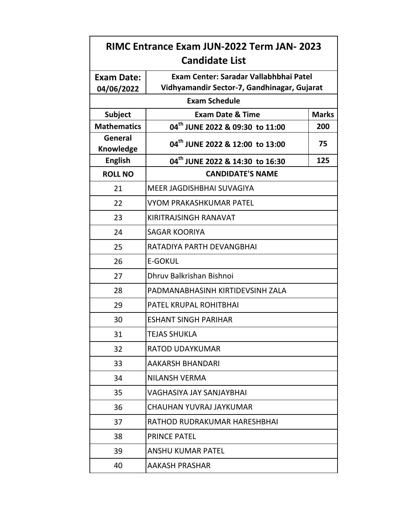| <b>RIMC Entrance Exam JUN-2022 Term JAN- 2023</b><br><b>Candidate List</b> |                                                                                       |              |
|----------------------------------------------------------------------------|---------------------------------------------------------------------------------------|--------------|
| <b>Exam Date:</b><br>04/06/2022                                            | Exam Center: Saradar Vallabhbhai Patel<br>Vidhyamandir Sector-7, Gandhinagar, Gujarat |              |
| <b>Exam Schedule</b>                                                       |                                                                                       |              |
| <b>Subject</b>                                                             | <b>Exam Date &amp; Time</b>                                                           | <b>Marks</b> |
| <b>Mathematics</b>                                                         | 04 <sup>th</sup> JUNE 2022 & 09:30 to 11:00                                           | 200          |
| General<br><b>Knowledge</b>                                                | 04 <sup>th</sup> JUNE 2022 & 12:00 to 13:00                                           | 75           |
| <b>English</b>                                                             | 04 <sup>th</sup> JUNE 2022 & 14:30 to 16:30                                           | 125          |
| <b>ROLL NO</b>                                                             | <b>CANDIDATE'S NAME</b>                                                               |              |
| 21                                                                         | MEER JAGDISHBHAI SUVAGIYA                                                             |              |
| 22                                                                         | VYOM PRAKASHKUMAR PATEL                                                               |              |
| 23                                                                         | KIRITRAJSINGH RANAVAT                                                                 |              |
| 24                                                                         | <b>SAGAR KOORIYA</b>                                                                  |              |
| 25                                                                         | RATADIYA PARTH DEVANGBHAI                                                             |              |
| 26                                                                         | <b>E-GOKUL</b>                                                                        |              |
| 27                                                                         | Dhruv Balkrishan Bishnoi                                                              |              |
| 28                                                                         | PADMANABHASINH KIRTIDEVSINH ZALA                                                      |              |
| 29                                                                         | PATEL KRUPAL ROHITBHAI                                                                |              |
| 30                                                                         | <b>ESHANT SINGH PARIHAR</b>                                                           |              |
| 31                                                                         | <b>TEJAS SHUKLA</b>                                                                   |              |
| 32                                                                         | <b>RATOD UDAYKUMAR</b>                                                                |              |
| 33                                                                         | <b>AAKARSH BHANDARI</b>                                                               |              |
| 34                                                                         | <b>NILANSH VERMA</b>                                                                  |              |
| 35                                                                         | <b>VAGHASIYA JAY SANJAYBHAI</b>                                                       |              |
| 36                                                                         | CHAUHAN YUVRAJ JAYKUMAR                                                               |              |
| 37                                                                         | RATHOD RUDRAKUMAR HARESHBHAI                                                          |              |
| 38                                                                         | <b>PRINCE PATEL</b>                                                                   |              |
| 39                                                                         | <b>ANSHU KUMAR PATEL</b>                                                              |              |
| 40                                                                         | AAKASH PRASHAR                                                                        |              |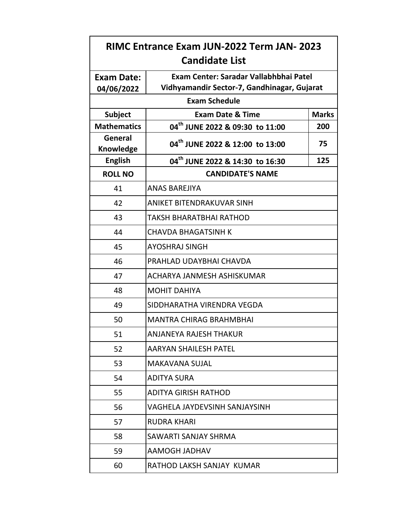| RIMC Entrance Exam JUN-2022 Term JAN- 2023<br><b>Candidate List</b> |                                                                                       |              |
|---------------------------------------------------------------------|---------------------------------------------------------------------------------------|--------------|
| <b>Exam Date:</b><br>04/06/2022                                     | Exam Center: Saradar Vallabhbhai Patel<br>Vidhyamandir Sector-7, Gandhinagar, Gujarat |              |
| <b>Exam Schedule</b>                                                |                                                                                       |              |
| <b>Subject</b>                                                      | <b>Exam Date &amp; Time</b>                                                           | <b>Marks</b> |
| <b>Mathematics</b>                                                  | 04 <sup>th</sup> JUNE 2022 & 09:30 to 11:00                                           | 200          |
| General<br>Knowledge                                                | 04 <sup>th</sup> JUNE 2022 & 12:00 to 13:00                                           | 75           |
| <b>English</b>                                                      | 04 <sup>th</sup> JUNE 2022 & 14:30 to 16:30                                           | 125          |
| <b>ROLL NO</b>                                                      | <b>CANDIDATE'S NAME</b>                                                               |              |
| 41                                                                  | <b>ANAS BAREJIYA</b>                                                                  |              |
| 42                                                                  | ANIKET BITENDRAKUVAR SINH                                                             |              |
| 43                                                                  | TAKSH BHARATBHAI RATHOD                                                               |              |
| 44                                                                  | <b>CHAVDA BHAGATSINH K</b>                                                            |              |
| 45                                                                  | <b>AYOSHRAJ SINGH</b>                                                                 |              |
| 46                                                                  | PRAHLAD UDAYBHAI CHAVDA                                                               |              |
| 47                                                                  | ACHARYA JANMESH ASHISKUMAR                                                            |              |
| 48                                                                  | <b>MOHIT DAHIYA</b>                                                                   |              |
| 49                                                                  | SIDDHARATHA VIRENDRA VEGDA                                                            |              |
| 50                                                                  | <b>MANTRA CHIRAG BRAHMBHAI</b>                                                        |              |
| 51                                                                  | ANJANEYA RAJESH THAKUR                                                                |              |
| 52                                                                  | <b>AARYAN SHAILESH PATEL</b>                                                          |              |
| 53                                                                  | <b>MAKAVANA SUJAL</b>                                                                 |              |
| 54                                                                  | <b>ADITYA SURA</b>                                                                    |              |
| 55                                                                  | <b>ADITYA GIRISH RATHOD</b>                                                           |              |
| 56                                                                  | <b>VAGHELA JAYDEVSINH SANJAYSINH</b>                                                  |              |
| 57                                                                  | <b>RUDRA KHARI</b>                                                                    |              |
| 58                                                                  | SAWARTI SANJAY SHRMA                                                                  |              |
| 59                                                                  | AAMOGH JADHAV                                                                         |              |
| 60                                                                  | RATHOD LAKSH SANJAY KUMAR                                                             |              |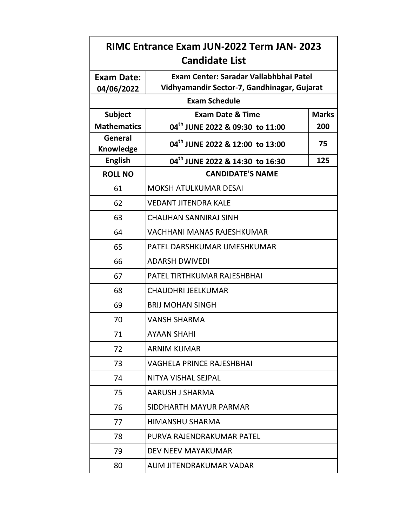| RIMC Entrance Exam JUN-2022 Term JAN- 2023<br><b>Candidate List</b> |                                                                                       |              |
|---------------------------------------------------------------------|---------------------------------------------------------------------------------------|--------------|
| <b>Exam Date:</b><br>04/06/2022                                     | Exam Center: Saradar Vallabhbhai Patel<br>Vidhyamandir Sector-7, Gandhinagar, Gujarat |              |
|                                                                     | <b>Exam Schedule</b>                                                                  |              |
| <b>Subject</b>                                                      | <b>Exam Date &amp; Time</b>                                                           | <b>Marks</b> |
| <b>Mathematics</b>                                                  | 04 <sup>th</sup> JUNE 2022 & 09:30 to 11:00                                           | 200          |
| General<br>Knowledge                                                | 04 <sup>th</sup> JUNE 2022 & 12:00 to 13:00                                           | 75           |
| <b>English</b>                                                      | 04 <sup>th</sup> JUNE 2022 & 14:30 to 16:30                                           | 125          |
| <b>ROLL NO</b>                                                      | <b>CANDIDATE'S NAME</b>                                                               |              |
| 61                                                                  | <b>MOKSH ATULKUMAR DESAI</b>                                                          |              |
| 62                                                                  | <b>VEDANT JITENDRA KALE</b>                                                           |              |
| 63                                                                  | <b>CHAUHAN SANNIRAJ SINH</b>                                                          |              |
| 64                                                                  | <b>VACHHANI MANAS RAJESHKUMAR</b>                                                     |              |
| 65                                                                  | PATEL DARSHKUMAR UMESHKUMAR                                                           |              |
| 66                                                                  | <b>ADARSH DWIVEDI</b>                                                                 |              |
| 67                                                                  | PATEL TIRTHKUMAR RAJESHBHAI                                                           |              |
| 68                                                                  | <b>CHAUDHRI JEELKUMAR</b>                                                             |              |
| 69                                                                  | <b>BRIJ MOHAN SINGH</b>                                                               |              |
| 70                                                                  | <b>VANSH SHARMA</b>                                                                   |              |
| 71                                                                  | AYAAN SHAHI                                                                           |              |
| 72                                                                  | <b>ARNIM KUMAR</b>                                                                    |              |
| 73                                                                  | <b>VAGHELA PRINCE RAJESHBHAI</b>                                                      |              |
| 74                                                                  | NITYA VISHAL SEJPAL                                                                   |              |
| 75                                                                  | AARUSH J SHARMA                                                                       |              |
| 76                                                                  | SIDDHARTH MAYUR PARMAR                                                                |              |
| 77                                                                  | <b>HIMANSHU SHARMA</b>                                                                |              |
| 78                                                                  | PURVA RAJENDRAKUMAR PATEL                                                             |              |
| 79                                                                  | DEV NEEV MAYAKUMAR                                                                    |              |
| 80                                                                  | AUM JITENDRAKUMAR VADAR                                                               |              |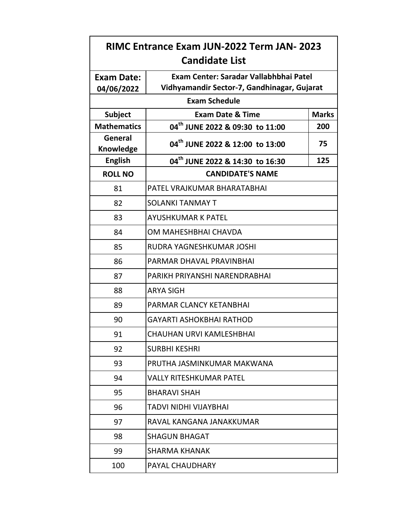| <b>RIMC Entrance Exam JUN-2022 Term JAN- 2023</b><br><b>Candidate List</b> |                                                                                       |              |
|----------------------------------------------------------------------------|---------------------------------------------------------------------------------------|--------------|
| <b>Exam Date:</b><br>04/06/2022                                            | Exam Center: Saradar Vallabhbhai Patel<br>Vidhyamandir Sector-7, Gandhinagar, Gujarat |              |
|                                                                            | <b>Exam Schedule</b>                                                                  |              |
| <b>Subject</b>                                                             | <b>Exam Date &amp; Time</b>                                                           | <b>Marks</b> |
| <b>Mathematics</b>                                                         | 04 <sup>th</sup> JUNE 2022 & 09:30 to 11:00                                           | 200          |
| General<br><b>Knowledge</b>                                                | 04 <sup>th</sup> JUNE 2022 & 12:00 to 13:00                                           | 75           |
| <b>English</b>                                                             | 04 <sup>th</sup> JUNE 2022 & 14:30 to 16:30                                           | 125          |
| <b>ROLL NO</b>                                                             | <b>CANDIDATE'S NAME</b>                                                               |              |
| 81                                                                         | PATEL VRAJKUMAR BHARATABHAI                                                           |              |
| 82                                                                         | <b>SOLANKI TANMAY T</b>                                                               |              |
| 83                                                                         | <b>AYUSHKUMAR K PATEL</b>                                                             |              |
| 84                                                                         | OM MAHESHBHAI CHAVDA                                                                  |              |
| 85                                                                         | RUDRA YAGNESHKUMAR JOSHI                                                              |              |
| 86                                                                         | PARMAR DHAVAL PRAVINBHAI                                                              |              |
| 87                                                                         | PARIKH PRIYANSHI NARENDRABHAI                                                         |              |
| 88                                                                         | <b>ARYA SIGH</b>                                                                      |              |
| 89                                                                         | PARMAR CLANCY KETANBHAI                                                               |              |
| 90                                                                         | <b>GAYARTI ASHOKBHAI RATHOD</b>                                                       |              |
| 91                                                                         | CHAUHAN URVI KAMLESHBHAI                                                              |              |
| 92                                                                         | <b>SURBHI KESHRI</b>                                                                  |              |
| 93                                                                         | PRUTHA JASMINKUMAR MAKWANA                                                            |              |
| 94                                                                         | <b>VALLY RITESHKUMAR PATEL</b>                                                        |              |
| 95                                                                         | <b>BHARAVI SHAH</b>                                                                   |              |
| 96                                                                         | TADVI NIDHI VIJAYBHAI                                                                 |              |
| 97                                                                         | RAVAL KANGANA JANAKKUMAR                                                              |              |
| 98                                                                         | <b>SHAGUN BHAGAT</b>                                                                  |              |
| 99                                                                         | <b>SHARMA KHANAK</b>                                                                  |              |
| 100                                                                        | PAYAL CHAUDHARY                                                                       |              |